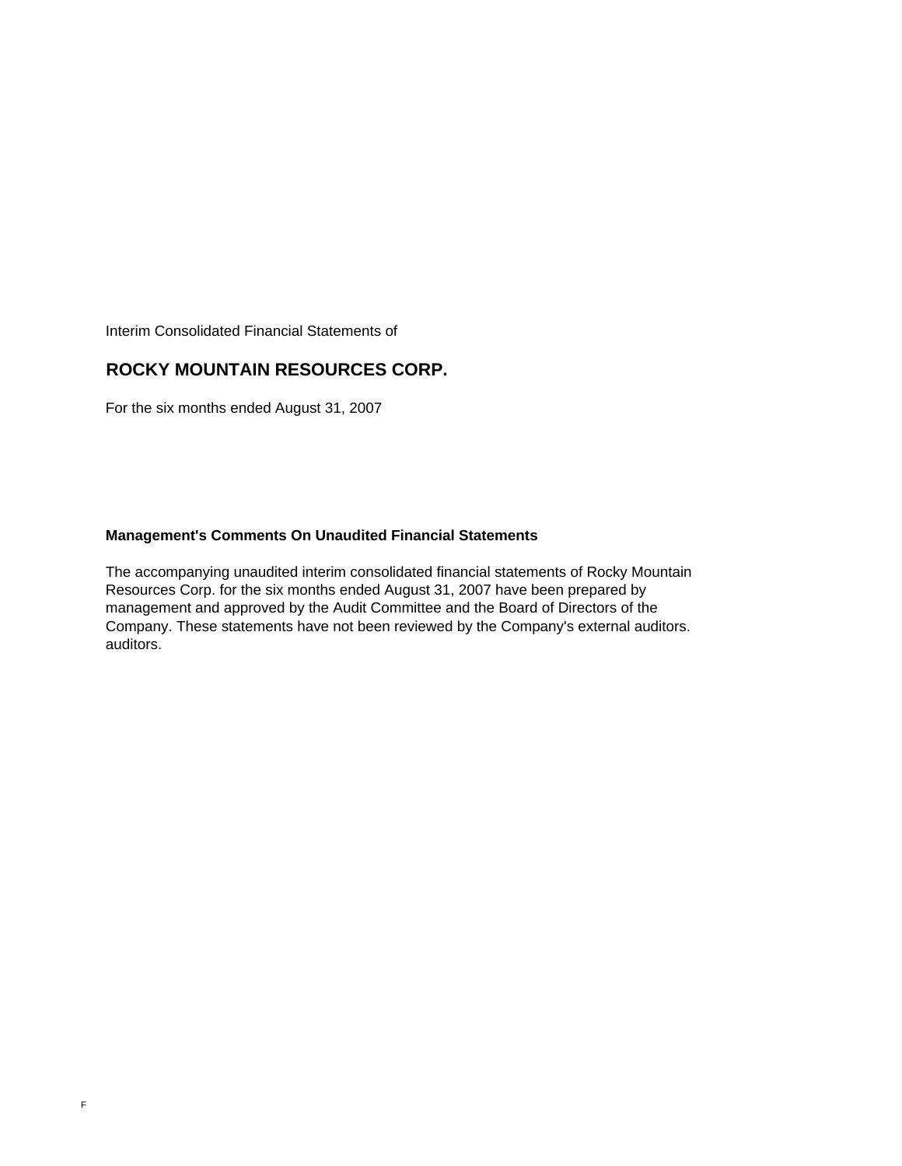Interim Consolidated Financial Statements of

### **ROCKY MOUNTAIN RESOURCES CORP.**

For the six months ended August 31, 2007

### **Management's Comments On Unaudited Financial Statements**

The accompanying unaudited interim consolidated financial statements of Rocky Mountain Resources Corp. for the six months ended August 31, 2007 have been prepared by management and approved by the Audit Committee and the Board of Directors of the Company. These statements have not been reviewed by the Company's external auditors. auditors.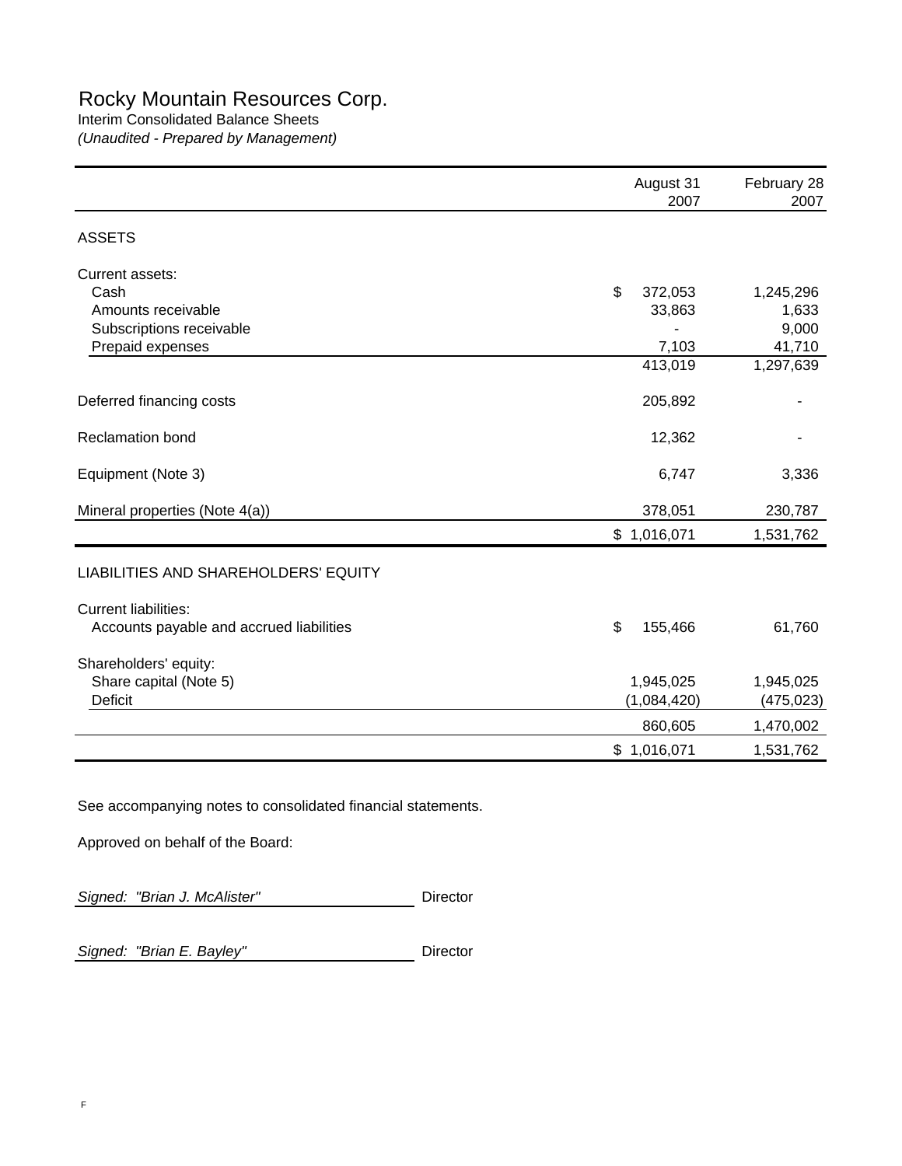# Rocky Mountain Resources Corp.

### Interim Consolidated Balance Sheets

*(Unaudited - Prepared by Management)*

|                                          | August 31<br>2007 | February 28<br>2007 |
|------------------------------------------|-------------------|---------------------|
| <b>ASSETS</b>                            |                   |                     |
| Current assets:                          |                   |                     |
| Cash                                     | \$<br>372,053     | 1,245,296           |
| Amounts receivable                       | 33,863            | 1,633               |
| Subscriptions receivable                 |                   | 9,000               |
| Prepaid expenses                         | 7,103             | 41,710              |
|                                          | 413,019           | 1,297,639           |
| Deferred financing costs                 | 205,892           |                     |
| <b>Reclamation bond</b>                  | 12,362            |                     |
| Equipment (Note 3)                       | 6,747             | 3,336               |
| Mineral properties (Note 4(a))           | 378,051           | 230,787             |
|                                          | \$1,016,071       | 1,531,762           |
| LIABILITIES AND SHAREHOLDERS' EQUITY     |                   |                     |
| <b>Current liabilities:</b>              |                   |                     |
| Accounts payable and accrued liabilities | \$<br>155,466     | 61,760              |
| Shareholders' equity:                    |                   |                     |
| Share capital (Note 5)                   | 1,945,025         | 1,945,025           |
| Deficit                                  | (1,084,420)       | (475, 023)          |
|                                          | 860,605           | 1,470,002           |
|                                          | \$1,016,071       | 1,531,762           |
|                                          |                   |                     |

See accompanying notes to consolidated financial statements.

Approved on behalf of the Board:

Signed: "Brian J. McAlister" **Director** 

**Signed: "Brian E. Bayley"** Director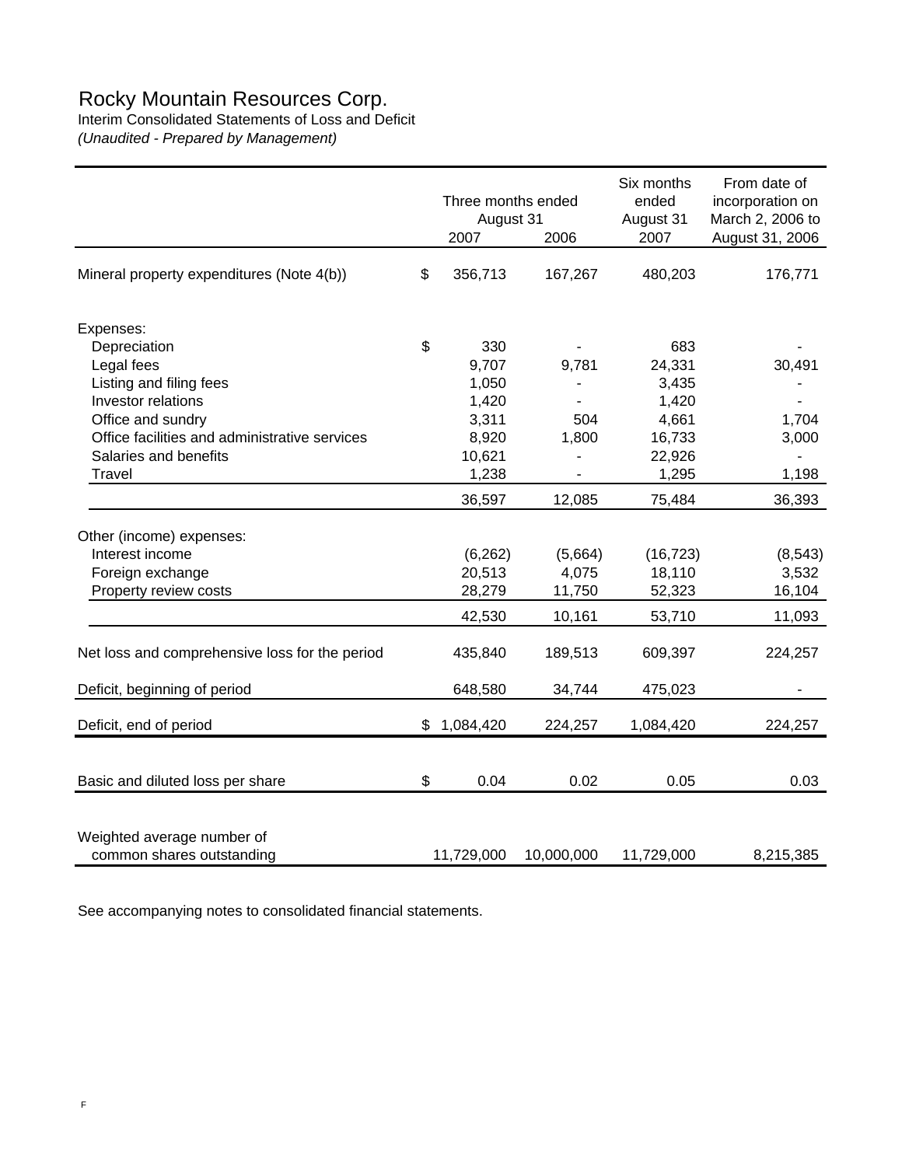## Rocky Mountain Resources Corp.

Interim Consolidated Statements of Loss and Deficit

*(Unaudited - Prepared by Management)*

|                                                         | Three months ended<br>August 31<br>2007 | 2006       | Six months<br>ended<br>August 31<br>2007 | From date of<br>incorporation on<br>March 2, 2006 to<br>August 31, 2006 |
|---------------------------------------------------------|-----------------------------------------|------------|------------------------------------------|-------------------------------------------------------------------------|
| Mineral property expenditures (Note 4(b))               | \$<br>356,713                           | 167,267    | 480,203                                  | 176,771                                                                 |
| Expenses:                                               |                                         |            |                                          |                                                                         |
| Depreciation                                            | \$<br>330                               |            | 683                                      |                                                                         |
| Legal fees                                              | 9,707                                   | 9,781      | 24,331                                   | 30,491                                                                  |
| Listing and filing fees                                 | 1,050                                   |            | 3,435                                    |                                                                         |
| Investor relations                                      | 1,420                                   |            | 1,420                                    |                                                                         |
| Office and sundry                                       | 3,311                                   | 504        | 4,661                                    | 1,704                                                                   |
| Office facilities and administrative services           | 8,920                                   | 1,800      | 16,733                                   | 3,000                                                                   |
| Salaries and benefits                                   | 10,621                                  |            | 22,926                                   |                                                                         |
| Travel                                                  | 1,238                                   |            | 1,295                                    | 1,198                                                                   |
|                                                         | 36,597                                  | 12,085     | 75,484                                   | 36,393                                                                  |
| Other (income) expenses:                                |                                         |            |                                          |                                                                         |
| Interest income                                         | (6, 262)                                | (5,664)    | (16, 723)                                | (8, 543)                                                                |
| Foreign exchange                                        | 20,513                                  | 4,075      | 18,110                                   | 3,532                                                                   |
| Property review costs                                   | 28,279                                  | 11,750     | 52,323                                   | 16,104                                                                  |
|                                                         | 42,530                                  | 10,161     | 53,710                                   | 11,093                                                                  |
| Net loss and comprehensive loss for the period          | 435,840                                 | 189,513    | 609,397                                  | 224,257                                                                 |
| Deficit, beginning of period                            | 648,580                                 | 34,744     | 475,023                                  |                                                                         |
| Deficit, end of period                                  | \$<br>1,084,420                         | 224,257    | 1,084,420                                | 224,257                                                                 |
|                                                         |                                         |            |                                          |                                                                         |
| Basic and diluted loss per share                        | \$<br>0.04                              | 0.02       | 0.05                                     | 0.03                                                                    |
| Weighted average number of<br>common shares outstanding | 11,729,000                              | 10,000,000 | 11,729,000                               | 8,215,385                                                               |

See accompanying notes to consolidated financial statements.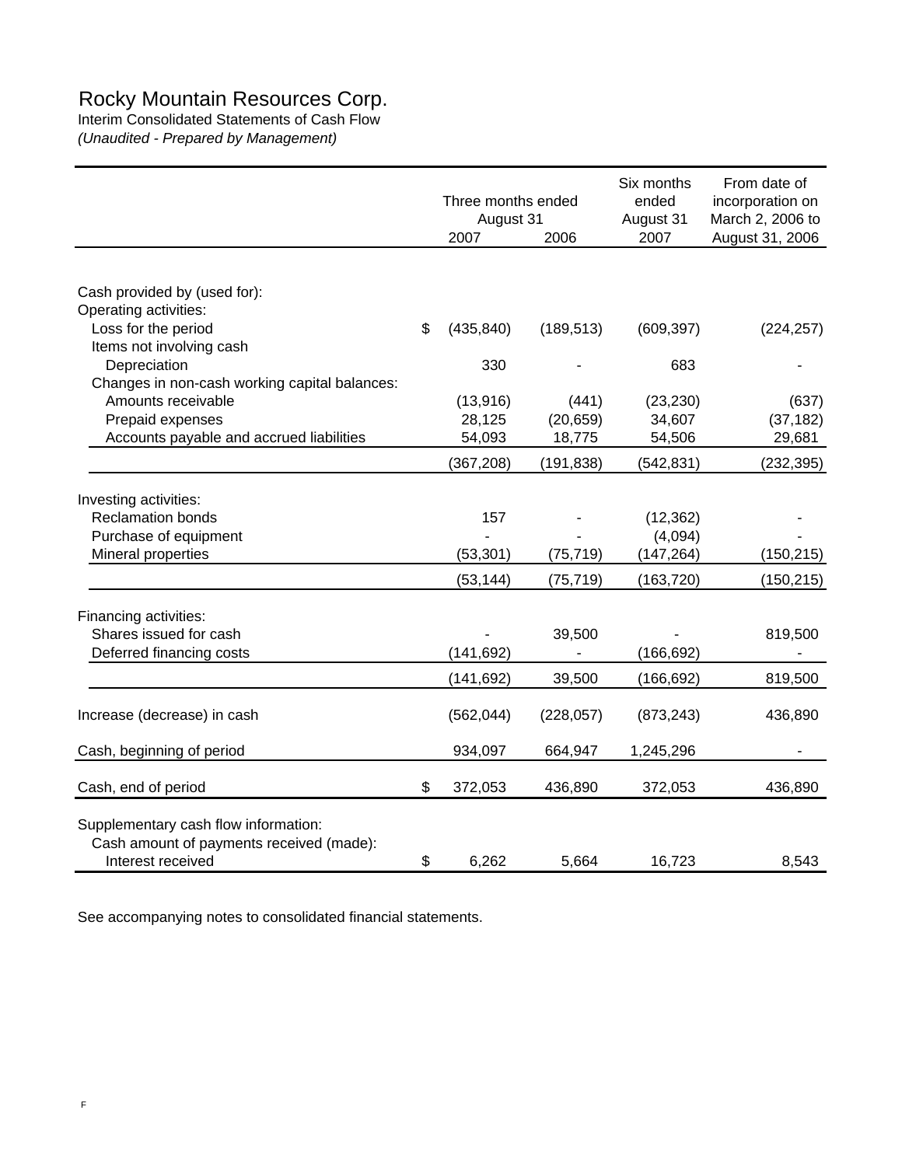## Rocky Mountain Resources Corp.

Interim Consolidated Statements of Cash Flow

*(Unaudited - Prepared by Management)*

|                                                                                                       | Three months ended<br>August 31 |            | Six months<br>ended<br>August 31 | From date of<br>incorporation on<br>March 2, 2006 to |
|-------------------------------------------------------------------------------------------------------|---------------------------------|------------|----------------------------------|------------------------------------------------------|
|                                                                                                       | 2007                            | 2006       | 2007                             | August 31, 2006                                      |
|                                                                                                       |                                 |            |                                  |                                                      |
| Cash provided by (used for):<br>Operating activities:                                                 |                                 |            |                                  |                                                      |
| Loss for the period                                                                                   | \$<br>(435, 840)                | (189, 513) | (609, 397)                       | (224, 257)                                           |
| Items not involving cash                                                                              |                                 |            |                                  |                                                      |
| Depreciation                                                                                          | 330                             |            | 683                              |                                                      |
| Changes in non-cash working capital balances:                                                         |                                 |            |                                  |                                                      |
| Amounts receivable                                                                                    | (13, 916)                       | (441)      | (23, 230)                        | (637)                                                |
| Prepaid expenses                                                                                      | 28,125                          | (20, 659)  | 34,607                           | (37, 182)                                            |
| Accounts payable and accrued liabilities                                                              | 54,093                          | 18,775     | 54,506                           | 29,681                                               |
|                                                                                                       | (367, 208)                      | (191, 838) | (542, 831)                       | (232, 395)                                           |
| Investing activities:                                                                                 |                                 |            |                                  |                                                      |
| <b>Reclamation bonds</b>                                                                              | 157                             |            | (12, 362)                        |                                                      |
| Purchase of equipment                                                                                 |                                 |            | (4,094)                          |                                                      |
| Mineral properties                                                                                    | (53, 301)                       | (75, 719)  | (147, 264)                       | (150, 215)                                           |
|                                                                                                       | (53, 144)                       | (75, 719)  | (163, 720)                       | (150, 215)                                           |
| Financing activities:                                                                                 |                                 |            |                                  |                                                      |
| Shares issued for cash                                                                                |                                 | 39,500     |                                  | 819,500                                              |
| Deferred financing costs                                                                              | (141, 692)                      |            | (166, 692)                       |                                                      |
|                                                                                                       | (141, 692)                      | 39,500     | (166, 692)                       | 819,500                                              |
| Increase (decrease) in cash                                                                           | (562, 044)                      | (228, 057) | (873, 243)                       | 436,890                                              |
| Cash, beginning of period                                                                             | 934,097                         | 664,947    | 1,245,296                        |                                                      |
| Cash, end of period                                                                                   | \$<br>372,053                   | 436,890    | 372,053                          | 436,890                                              |
| Supplementary cash flow information:<br>Cash amount of payments received (made):<br>Interest received | \$<br>6,262                     | 5,664      | 16,723                           | 8,543                                                |

See accompanying notes to consolidated financial statements.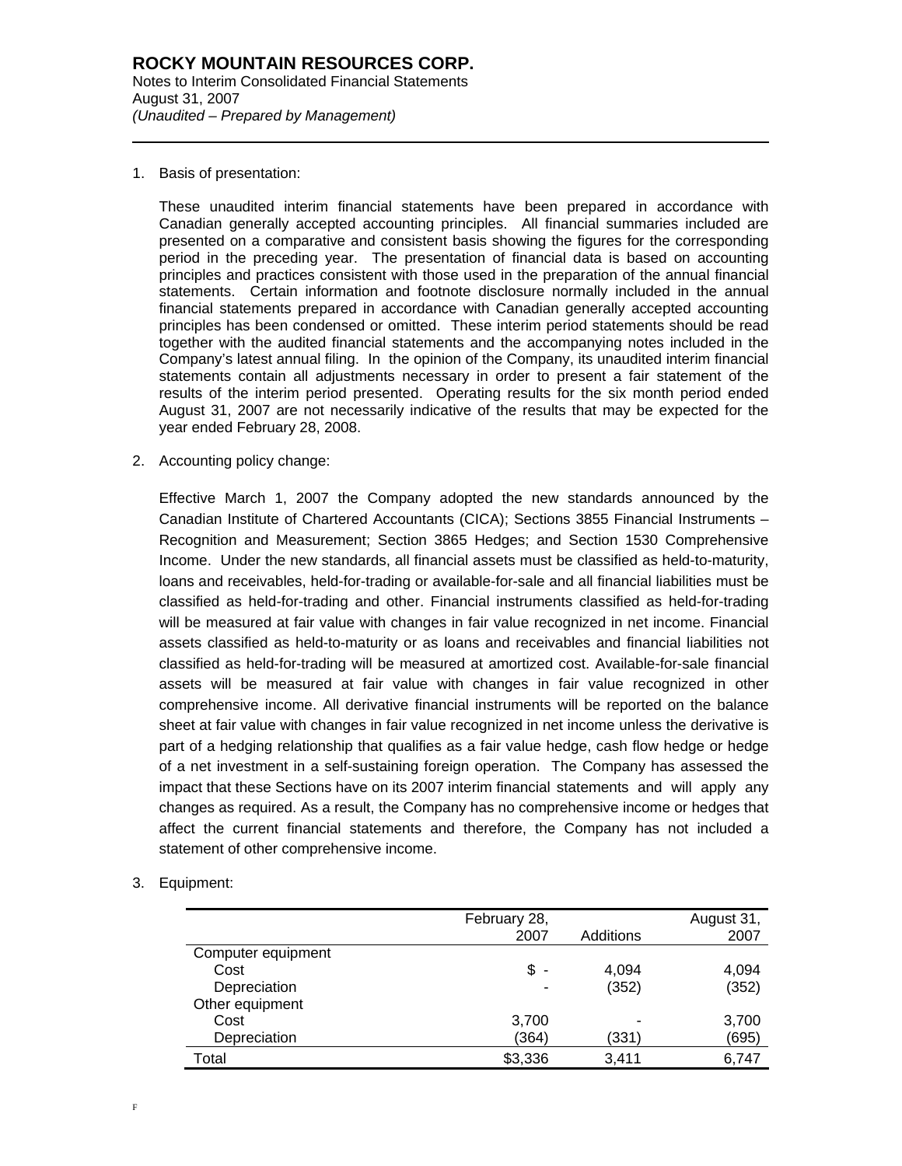1. Basis of presentation:

l

These unaudited interim financial statements have been prepared in accordance with Canadian generally accepted accounting principles. All financial summaries included are presented on a comparative and consistent basis showing the figures for the corresponding period in the preceding year. The presentation of financial data is based on accounting principles and practices consistent with those used in the preparation of the annual financial statements. Certain information and footnote disclosure normally included in the annual financial statements prepared in accordance with Canadian generally accepted accounting principles has been condensed or omitted. These interim period statements should be read together with the audited financial statements and the accompanying notes included in the Company's latest annual filing. In the opinion of the Company, its unaudited interim financial statements contain all adjustments necessary in order to present a fair statement of the results of the interim period presented. Operating results for the six month period ended August 31, 2007 are not necessarily indicative of the results that may be expected for the year ended February 28, 2008.

2. Accounting policy change:

Effective March 1, 2007 the Company adopted the new standards announced by the Canadian Institute of Chartered Accountants (CICA); Sections 3855 Financial Instruments – Recognition and Measurement; Section 3865 Hedges; and Section 1530 Comprehensive Income. Under the new standards, all financial assets must be classified as held-to-maturity, loans and receivables, held-for-trading or available-for-sale and all financial liabilities must be classified as held-for-trading and other. Financial instruments classified as held-for-trading will be measured at fair value with changes in fair value recognized in net income. Financial assets classified as held-to-maturity or as loans and receivables and financial liabilities not classified as held-for-trading will be measured at amortized cost. Available-for-sale financial assets will be measured at fair value with changes in fair value recognized in other comprehensive income. All derivative financial instruments will be reported on the balance sheet at fair value with changes in fair value recognized in net income unless the derivative is part of a hedging relationship that qualifies as a fair value hedge, cash flow hedge or hedge of a net investment in a self-sustaining foreign operation. The Company has assessed the impact that these Sections have on its 2007 interim financial statements and will apply any changes as required. As a result, the Company has no comprehensive income or hedges that affect the current financial statements and therefore, the Company has not included a statement of other comprehensive income.

3. Equipment:

|                    | February 28,<br>2007 | Additions | August 31,<br>2007 |
|--------------------|----------------------|-----------|--------------------|
| Computer equipment |                      |           |                    |
| Cost               | \$                   | 4,094     | 4,094              |
| Depreciation       |                      | (352)     | (352)              |
| Other equipment    |                      |           |                    |
| Cost               | 3,700                |           | 3,700              |
| Depreciation       | (364)                | (331)     | (695)              |
| Total              | \$3,336              | 3,411     | 6,747              |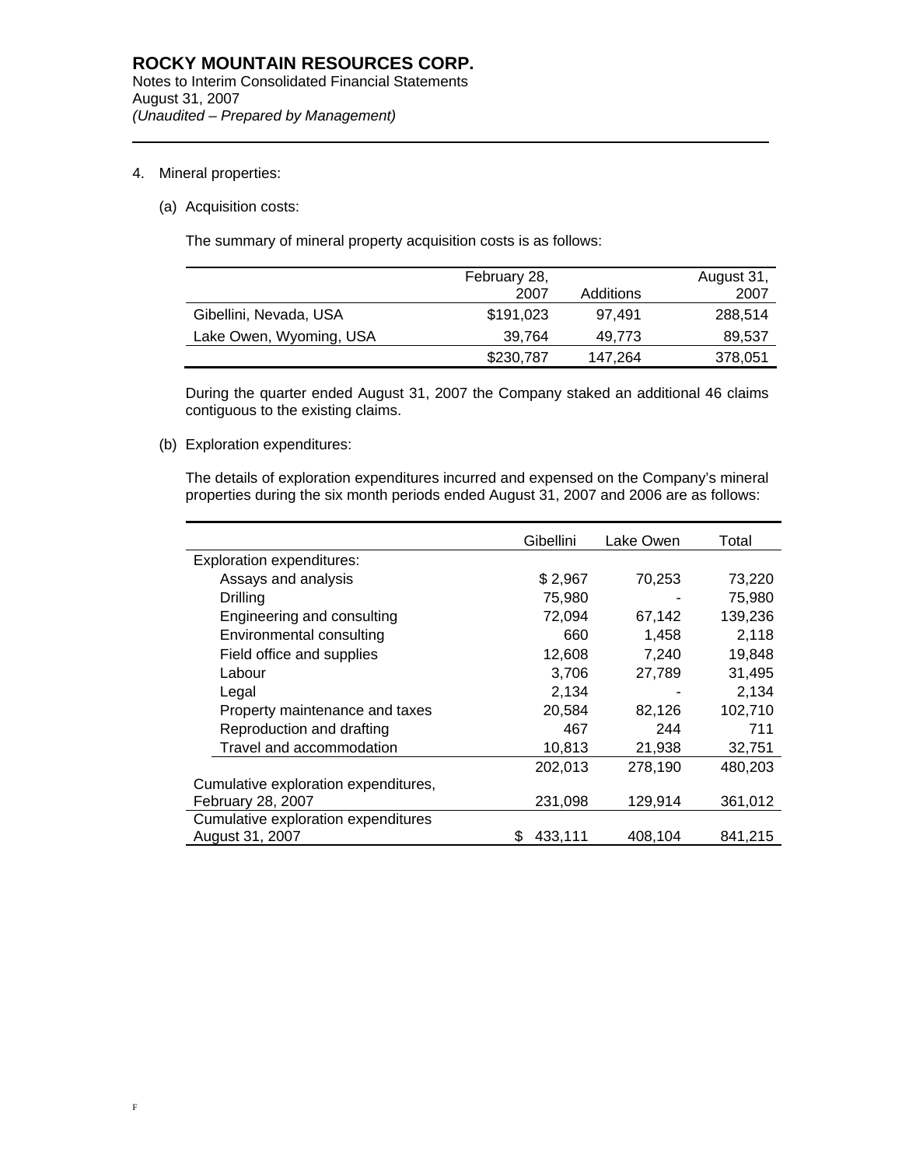4. Mineral properties:

l

(a) Acquisition costs:

The summary of mineral property acquisition costs is as follows:

|                         | February 28, |           | August 31, |
|-------------------------|--------------|-----------|------------|
|                         | 2007         | Additions | 2007       |
| Gibellini, Nevada, USA  | \$191,023    | 97.491    | 288,514    |
| Lake Owen, Wyoming, USA | 39,764       | 49.773    | 89,537     |
|                         | \$230,787    | 147,264   | 378,051    |

During the quarter ended August 31, 2007 the Company staked an additional 46 claims contiguous to the existing claims.

(b) Exploration expenditures:

The details of exploration expenditures incurred and expensed on the Company's mineral properties during the six month periods ended August 31, 2007 and 2006 are as follows:

|                                      | Gibellini     | Lake Owen | Total   |
|--------------------------------------|---------------|-----------|---------|
| Exploration expenditures:            |               |           |         |
| Assays and analysis                  | \$2,967       | 70,253    | 73,220  |
| Drilling                             | 75,980        |           | 75,980  |
| Engineering and consulting           | 72,094        | 67,142    | 139,236 |
| Environmental consulting             | 660           | 1,458     | 2,118   |
| Field office and supplies            | 12,608        | 7,240     | 19,848  |
| Labour                               | 3,706         | 27,789    | 31,495  |
| Legal                                | 2,134         |           | 2,134   |
| Property maintenance and taxes       | 20,584        | 82,126    | 102,710 |
| Reproduction and drafting            | 467           | 244       | 711     |
| Travel and accommodation             | 10,813        | 21,938    | 32,751  |
|                                      | 202,013       | 278,190   | 480,203 |
| Cumulative exploration expenditures, |               |           |         |
| February 28, 2007                    | 231,098       | 129,914   | 361,012 |
| Cumulative exploration expenditures  |               |           |         |
| August 31, 2007                      | \$<br>433,111 | 408,104   | 841,215 |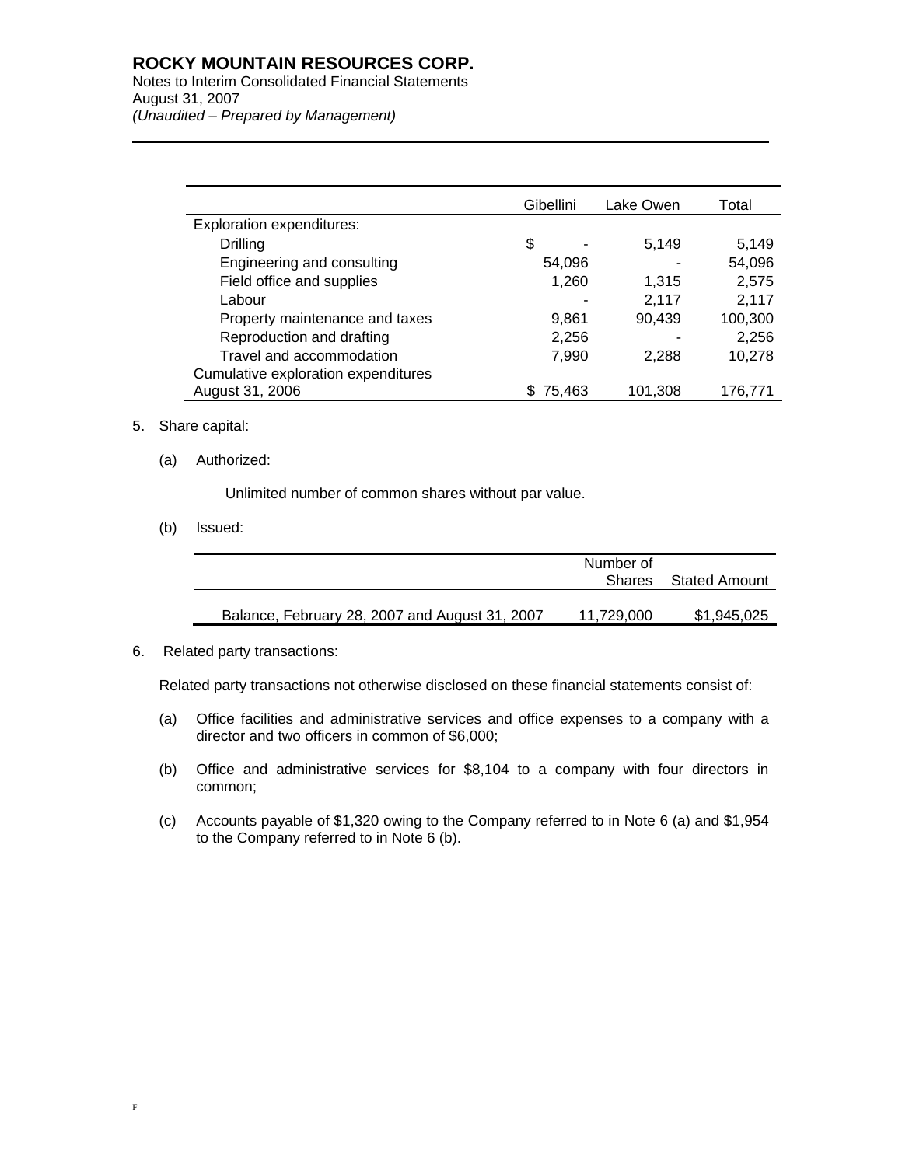### **ROCKY MOUNTAIN RESOURCES CORP.**

Notes to Interim Consolidated Financial Statements August 31, 2007 *(Unaudited – Prepared by Management)* 

|                                     | Gibellini    | Lake Owen | Total   |
|-------------------------------------|--------------|-----------|---------|
| <b>Exploration expenditures:</b>    |              |           |         |
| Drilling                            | \$           | 5,149     | 5,149   |
| Engineering and consulting          | 54,096       |           | 54,096  |
| Field office and supplies           | 1,260        | 1,315     | 2,575   |
| Labour                              |              | 2,117     | 2,117   |
| Property maintenance and taxes      | 9,861        | 90,439    | 100,300 |
| Reproduction and drafting           | 2,256        |           | 2,256   |
| Travel and accommodation            | 7,990        | 2,288     | 10,278  |
| Cumulative exploration expenditures |              |           |         |
| August 31, 2006                     | 75,463<br>æ. | 101,308   | 176,771 |

### 5. Share capital:

l

### (a) Authorized:

Unlimited number of common shares without par value.

(b) Issued:

|                                                | Number of<br>Shares | Stated Amount |
|------------------------------------------------|---------------------|---------------|
| Balance, February 28, 2007 and August 31, 2007 | 11,729,000          | \$1,945,025   |

#### 6. Related party transactions:

Related party transactions not otherwise disclosed on these financial statements consist of:

- (a) Office facilities and administrative services and office expenses to a company with a director and two officers in common of \$6,000;
- (b) Office and administrative services for \$8,104 to a company with four directors in common;
- (c) Accounts payable of \$1,320 owing to the Company referred to in Note 6 (a) and \$1,954 to the Company referred to in Note 6 (b).